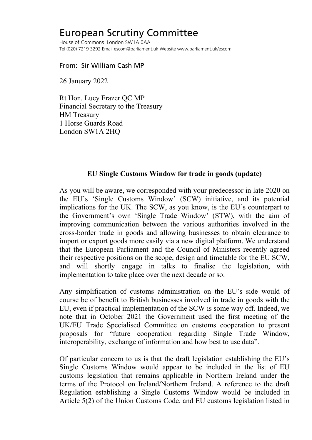## European Scrutiny Committee

House of Commons London SW1A 0AA Tel (020) 7219 3292 Email escom@parliament.uk Website www.parliament.uk/escom

From: Sir William Cash MP

26 January 2022

Rt Hon. Lucy Frazer QC MP Financial Secretary to the Treasury HM Treasury 1 Horse Guards Road London SW1A 2HQ

## **EU Single Customs Window for trade in goods (update)**

As you will be aware, we corresponded with your predecessor in late 2020 on the EU's 'Single Customs Window' (SCW) initiative, and its potential implications for the UK. The SCW, as you know, is the EU's counterpart to the Government's own 'Single Trade Window' (STW), with the aim of improving communication between the various authorities involved in the cross-border trade in goods and allowing businesses to obtain clearance to import or export goods more easily via a new digital platform. We understand that the European Parliament and the Council of Ministers recently agreed their respective positions on the scope, design and timetable for the EU SCW, and will shortly engage in talks to finalise the legislation, with implementation to take place over the next decade or so.

Any simplification of customs administration on the EU's side would of course be of benefit to British businesses involved in trade in goods with the EU, even if practical implementation of the SCW is some way off. Indeed, we note that in October 2021 the Government used the first meeting of the UK/EU Trade Specialised Committee on customs cooperation to present proposals for "future cooperation regarding Single Trade Window, interoperability, exchange of information and how best to use data".

Of particular concern to us is that the draft legislation establishing the EU's Single Customs Window would appear to be included in the list of EU customs legislation that remains applicable in Northern Ireland under the terms of the Protocol on Ireland/Northern Ireland. A reference to the draft Regulation establishing a Single Customs Window would be included in Article 5(2) of the Union Customs Code, and EU customs legislation listed in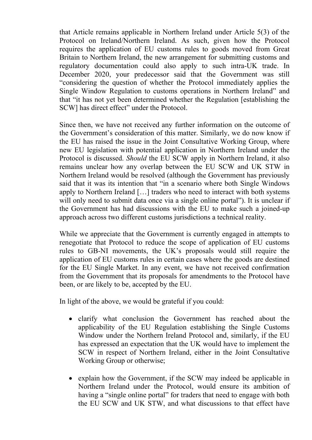that Article remains applicable in Northern Ireland under Article 5(3) of the Protocol on Ireland/Northern Ireland. As such, given how the Protocol requires the application of EU customs rules to goods moved from Great Britain to Northern Ireland, the new arrangement for submitting customs and regulatory documentation could also apply to such intra-UK trade. In December 2020, your predecessor said that the Government was still "considering the question of whether the Protocol immediately applies the Single Window Regulation to customs operations in Northern Ireland" and that "it has not yet been determined whether the Regulation [establishing the SCW] has direct effect" under the Protocol.

Since then, we have not received any further information on the outcome of the Government's consideration of this matter. Similarly, we do now know if the EU has raised the issue in the Joint Consultative Working Group, where new EU legislation with potential application in Northern Ireland under the Protocol is discussed. *Should* the EU SCW apply in Northern Ireland, it also remains unclear how any overlap between the EU SCW and UK STW in Northern Ireland would be resolved (although the Government has previously said that it was its intention that "in a scenario where both Single Windows apply to Northern Ireland […] traders who need to interact with both systems will only need to submit data once via a single online portal"). It is unclear if the Government has had discussions with the EU to make such a joined-up approach across two different customs jurisdictions a technical reality.

While we appreciate that the Government is currently engaged in attempts to renegotiate that Protocol to reduce the scope of application of EU customs rules to GB-NI movements, the UK's proposals would still require the application of EU customs rules in certain cases where the goods are destined for the EU Single Market. In any event, we have not received confirmation from the Government that its proposals for amendments to the Protocol have been, or are likely to be, accepted by the EU.

In light of the above, we would be grateful if you could:

- clarify what conclusion the Government has reached about the applicability of the EU Regulation establishing the Single Customs Window under the Northern Ireland Protocol and, similarly, if the EU has expressed an expectation that the UK would have to implement the SCW in respect of Northern Ireland, either in the Joint Consultative Working Group or otherwise;
- explain how the Government, if the SCW may indeed be applicable in Northern Ireland under the Protocol, would ensure its ambition of having a "single online portal" for traders that need to engage with both the EU SCW and UK STW, and what discussions to that effect have